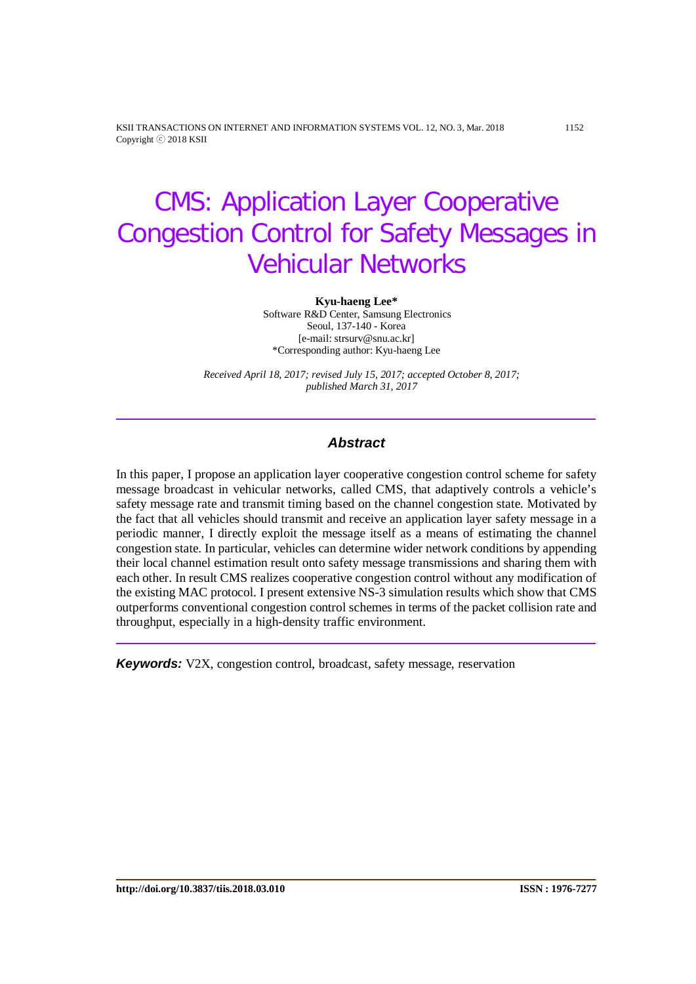KSII TRANSACTIONS ON INTERNET AND INFORMATION SYSTEMS VOL. 12, NO. 3, Mar. 2018 1152 Copyright ⓒ 2018 KSII

# CMS: Application Layer Cooperative Congestion Control for Safety Messages in Vehicular Networks

#### **Kyu-haeng Lee\***

Software R&D Center, Samsung Electronics Seoul, 137-140 - Korea [e-mail: strsurv@snu.ac.kr] \*Corresponding author: Kyu-haeng Lee

*Received April 18, 2017; revised July 15, 2017; accepted October 8, 2017; published March 31, 2017* 

## *Abstract*

In this paper, I propose an application layer cooperative congestion control scheme for safety message broadcast in vehicular networks, called CMS, that adaptively controls a vehicle's safety message rate and transmit timing based on the channel congestion state. Motivated by the fact that all vehicles should transmit and receive an application layer safety message in a periodic manner, I directly exploit the message itself as a means of estimating the channel congestion state. In particular, vehicles can determine wider network conditions by appending their local channel estimation result onto safety message transmissions and sharing them with each other. In result CMS realizes cooperative congestion control without any modification of the existing MAC protocol. I present extensive NS-3 simulation results which show that CMS outperforms conventional congestion control schemes in terms of the packet collision rate and throughput, especially in a high-density traffic environment.

*Keywords:* V2X, congestion control, broadcast, safety message, reservation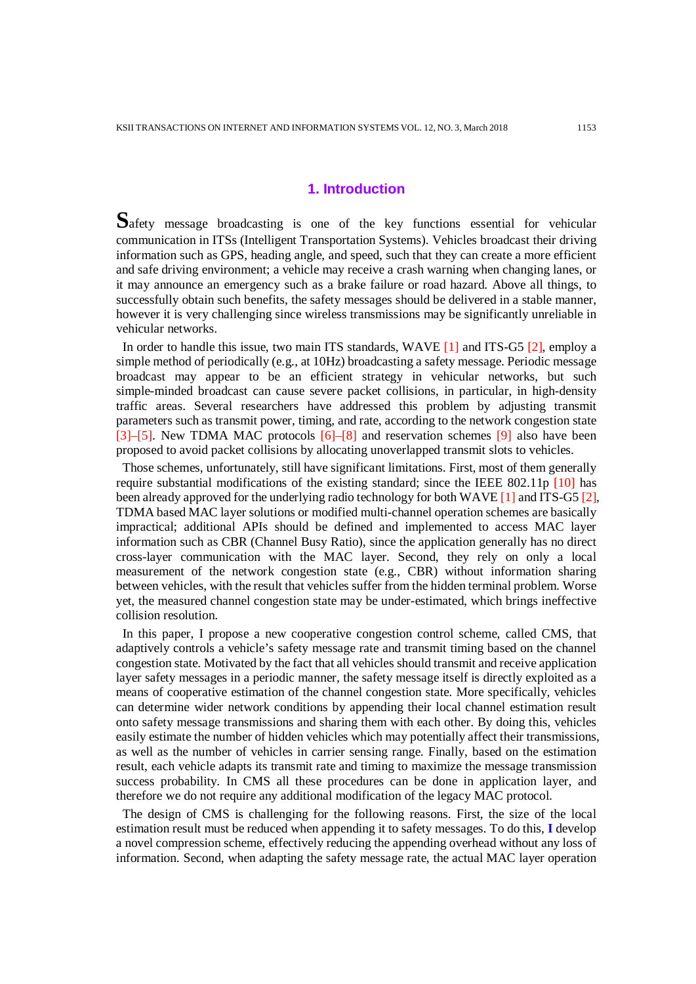# **1. Introduction**

**S**afety message broadcasting is one of the key functions essential for vehicular communication in ITSs (Intelligent Transportation Systems). Vehicles broadcast their driving information such as GPS, heading angle, and speed, such that they can create a more efficient and safe driving environment; a vehicle may receive a crash warning when changing lanes, or it may announce an emergency such as a brake failure or road hazard. Above all things, to successfully obtain such benefits, the safety messages should be delivered in a stable manner, however it is very challenging since wireless transmissions may be significantly unreliable in vehicular networks.

In order to handle this issue, two main ITS standards, WAVE [1] and ITS-G5 [2], employ a simple method of periodically (e.g., at 10Hz) broadcasting a safety message. Periodic message broadcast may appear to be an efficient strategy in vehicular networks, but such simple-minded broadcast can cause severe packet collisions, in particular, in high-density traffic areas. Several researchers have addressed this problem by adjusting transmit parameters such as transmit power, timing, and rate, according to the network congestion state [3]–[5]. New TDMA MAC protocols [6]–[8] and reservation schemes [9] also have been proposed to avoid packet collisions by allocating unoverlapped transmit slots to vehicles.

Those schemes, unfortunately, still have significant limitations. First, most of them generally require substantial modifications of the existing standard; since the IEEE 802.11p [10] has been already approved for the underlying radio technology for both WAVE [1] and ITS-G5 [2], TDMA based MAC layer solutions or modified multi-channel operation schemes are basically impractical; additional APIs should be defined and implemented to access MAC layer information such as CBR (Channel Busy Ratio), since the application generally has no direct cross-layer communication with the MAC layer. Second, they rely on only a local measurement of the network congestion state (e.g., CBR) without information sharing between vehicles, with the result that vehicles suffer from the hidden terminal problem. Worse yet, the measured channel congestion state may be under-estimated, which brings ineffective collision resolution.

In this paper, I propose a new cooperative congestion control scheme, called CMS, that adaptively controls a vehicle's safety message rate and transmit timing based on the channel congestion state. Motivated by the fact that all vehicles should transmit and receive application layer safety messages in a periodic manner, the safety message itself is directly exploited as a means of cooperative estimation of the channel congestion state. More specifically, vehicles can determine wider network conditions by appending their local channel estimation result onto safety message transmissions and sharing them with each other. By doing this, vehicles easily estimate the number of hidden vehicles which may potentially affect their transmissions, as well as the number of vehicles in carrier sensing range. Finally, based on the estimation result, each vehicle adapts its transmit rate and timing to maximize the message transmission success probability. In CMS all these procedures can be done in application layer, and therefore we do not require any additional modification of the legacy MAC protocol.

The design of CMS is challenging for the following reasons. First, the size of the local estimation result must be reduced when appending it to safety messages. To do this, **I** develop a novel compression scheme, effectively reducing the appending overhead without any loss of information. Second, when adapting the safety message rate, the actual MAC layer operation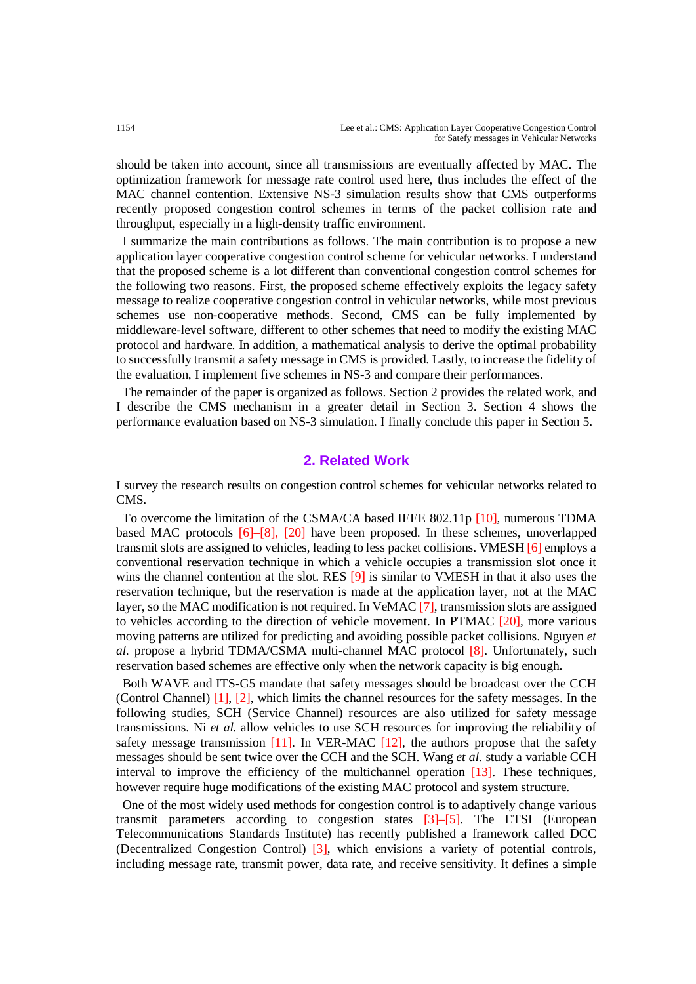should be taken into account, since all transmissions are eventually affected by MAC. The optimization framework for message rate control used here, thus includes the effect of the MAC channel contention. Extensive NS-3 simulation results show that CMS outperforms recently proposed congestion control schemes in terms of the packet collision rate and throughput, especially in a high-density traffic environment.

I summarize the main contributions as follows. The main contribution is to propose a new application layer cooperative congestion control scheme for vehicular networks. I understand that the proposed scheme is a lot different than conventional congestion control schemes for the following two reasons. First, the proposed scheme effectively exploits the legacy safety message to realize cooperative congestion control in vehicular networks, while most previous schemes use non-cooperative methods. Second, CMS can be fully implemented by middleware-level software, different to other schemes that need to modify the existing MAC protocol and hardware. In addition, a mathematical analysis to derive the optimal probability to successfully transmit a safety message in CMS is provided. Lastly, to increase the fidelity of the evaluation, I implement five schemes in NS-3 and compare their performances.

The remainder of the paper is organized as follows. Section 2 provides the related work, and I describe the CMS mechanism in a greater detail in Section 3. Section 4 shows the performance evaluation based on NS-3 simulation. I finally conclude this paper in Section 5.

## **2. Related Work**

I survey the research results on congestion control schemes for vehicular networks related to CMS.

To overcome the limitation of the CSMA/CA based IEEE 802.11p [10], numerous TDMA based MAC protocols [6]–[8], [20] have been proposed. In these schemes, unoverlapped transmit slots are assigned to vehicles, leading to less packet collisions. VMESH [6] employs a conventional reservation technique in which a vehicle occupies a transmission slot once it wins the channel contention at the slot. RES [9] is similar to VMESH in that it also uses the reservation technique, but the reservation is made at the application layer, not at the MAC layer, so the MAC modification is not required. In VeMAC [7], transmission slots are assigned to vehicles according to the direction of vehicle movement. In PTMAC [20], more various moving patterns are utilized for predicting and avoiding possible packet collisions. Nguyen *et al.* propose a hybrid TDMA/CSMA multi-channel MAC protocol [8]. Unfortunately, such reservation based schemes are effective only when the network capacity is big enough.

Both WAVE and ITS-G5 mandate that safety messages should be broadcast over the CCH (Control Channel) [1], [2], which limits the channel resources for the safety messages. In the following studies, SCH (Service Channel) resources are also utilized for safety message transmissions. Ni *et al.* allow vehicles to use SCH resources for improving the reliability of safety message transmission  $[11]$ . In VER-MAC  $[12]$ , the authors propose that the safety messages should be sent twice over the CCH and the SCH. Wang *et al.* study a variable CCH interval to improve the efficiency of the multichannel operation [13]. These techniques, however require huge modifications of the existing MAC protocol and system structure.

One of the most widely used methods for congestion control is to adaptively change various transmit parameters according to congestion states [3]–[5]. The ETSI (European Telecommunications Standards Institute) has recently published a framework called DCC (Decentralized Congestion Control) [3], which envisions a variety of potential controls, including message rate, transmit power, data rate, and receive sensitivity. It defines a simple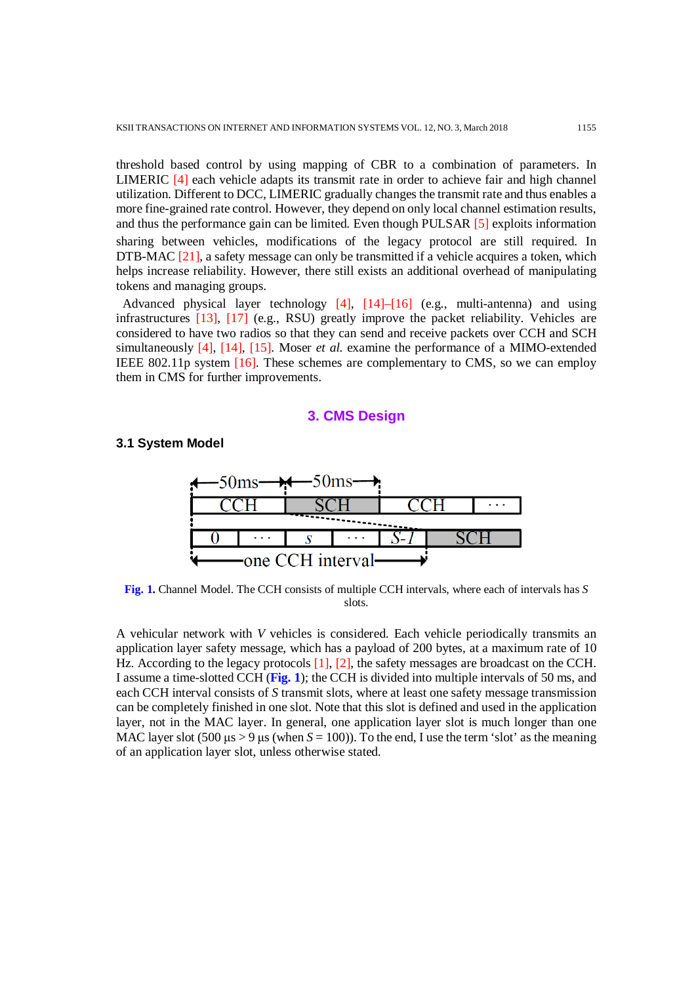threshold based control by using mapping of CBR to a combination of parameters. In LIMERIC [4] each vehicle adapts its transmit rate in order to achieve fair and high channel utilization. Different to DCC, LIMERIC gradually changes the transmit rate and thus enables a more fine-grained rate control. However, they depend on only local channel estimation results, and thus the performance gain can be limited. Even though PULSAR [5] exploits information sharing between vehicles, modifications of the legacy protocol are still required. In DTB-MAC [21], a safety message can only be transmitted if a vehicle acquires a token, which helps increase reliability. However, there still exists an additional overhead of manipulating tokens and managing groups.

Advanced physical layer technology [4], [14]–[16] (e.g., multi-antenna) and using infrastructures [13], [17] (e.g., RSU) greatly improve the packet reliability. Vehicles are considered to have two radios so that they can send and receive packets over CCH and SCH simultaneously [4], [14], [15]. Moser *et al.* examine the performance of a MIMO-extended IEEE 802.11p system [16]. These schemes are complementary to CMS, so we can employ them in CMS for further improvements.

## **3. CMS Design**

## **3.1 System Model**



**Fig. 1.** Channel Model. The CCH consists of multiple CCH intervals, where each of intervals has *S* slots.

A vehicular network with *V* vehicles is considered. Each vehicle periodically transmits an application layer safety message, which has a payload of 200 bytes, at a maximum rate of 10 Hz. According to the legacy protocols [1], [2], the safety messages are broadcast on the CCH. I assume a time-slotted CCH (**Fig. 1**); the CCH is divided into multiple intervals of 50 ms, and each CCH interval consists of *S* transmit slots, where at least one safety message transmission can be completely finished in one slot. Note that this slot is defined and used in the application layer, not in the MAC layer. In general, one application layer slot is much longer than one MAC layer slot  $(500 \text{ }\mu\text{s} > 9 \text{ }\mu\text{s}$  (when  $S = 100$ )). To the end, I use the term 'slot' as the meaning of an application layer slot, unless otherwise stated.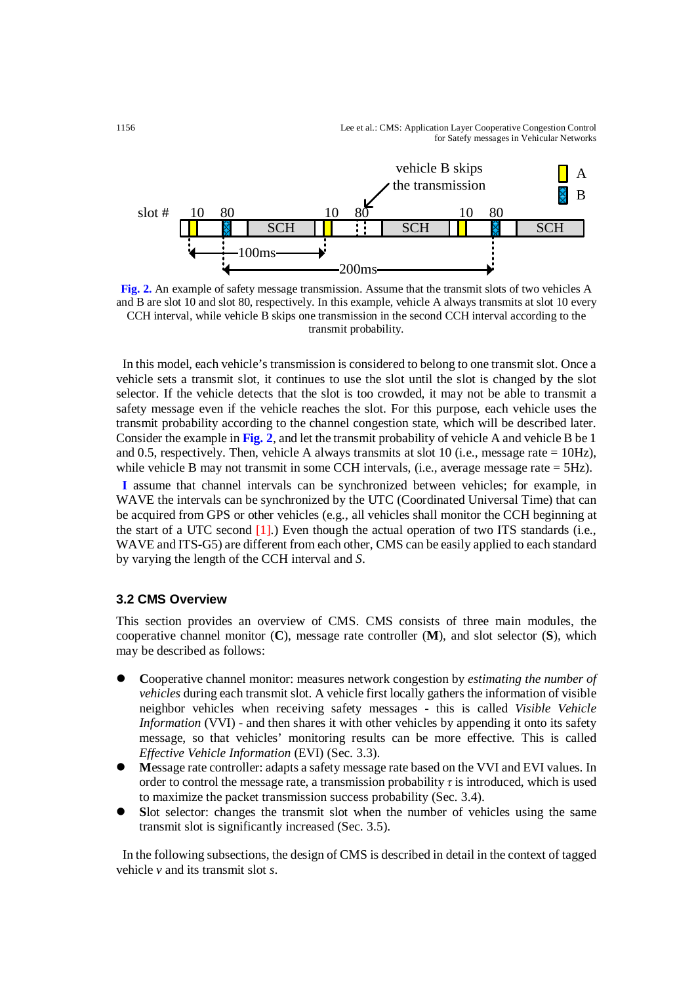1156 Lee et al.: CMS: Application Layer Cooperative Congestion Control for Satefy messages in Vehicular Networks



**Fig. 2.** An example of safety message transmission. Assume that the transmit slots of two vehicles A and B are slot 10 and slot 80, respectively. In this example, vehicle A always transmits at slot 10 every CCH interval, while vehicle B skips one transmission in the second CCH interval according to the transmit probability.

In this model, each vehicle's transmission is considered to belong to one transmit slot. Once a vehicle sets a transmit slot, it continues to use the slot until the slot is changed by the slot selector. If the vehicle detects that the slot is too crowded, it may not be able to transmit a safety message even if the vehicle reaches the slot. For this purpose, each vehicle uses the transmit probability according to the channel congestion state, which will be described later. Consider the example in **Fig. 2**, and let the transmit probability of vehicle A and vehicle B be 1 and 0.5, respectively. Then, vehicle A always transmits at slot 10 (i.e., message rate =  $10\text{Hz}$ ), while vehicle B may not transmit in some CCH intervals, (i.e., average message rate = 5Hz).

**I** assume that channel intervals can be synchronized between vehicles; for example, in WAVE the intervals can be synchronized by the UTC (Coordinated Universal Time) that can be acquired from GPS or other vehicles (e.g., all vehicles shall monitor the CCH beginning at the start of a UTC second  $[1]$ .) Even though the actual operation of two ITS standards (i.e., WAVE and ITS-G5) are different from each other, CMS can be easily applied to each standard by varying the length of the CCH interval and *S*.

## **3.2 CMS Overview**

This section provides an overview of CMS. CMS consists of three main modules, the cooperative channel monitor (**C**), message rate controller (**M**), and slot selector (**S**), which may be described as follows:

- **C**ooperative channel monitor: measures network congestion by *estimating the number of vehicles* during each transmit slot. A vehicle first locally gathers the information of visible neighbor vehicles when receiving safety messages - this is called *Visible Vehicle Information* (VVI) - and then shares it with other vehicles by appending it onto its safety message, so that vehicles' monitoring results can be more effective. This is called *Effective Vehicle Information* (EVI) (Sec. 3.3).
- **M**essage rate controller: adapts a safety message rate based on the VVI and EVI values. In order to control the message rate, a transmission probability *τ* is introduced, which is used to maximize the packet transmission success probability (Sec. 3.4).
- **S**lot selector: changes the transmit slot when the number of vehicles using the same transmit slot is significantly increased (Sec. 3.5).

In the following subsections, the design of CMS is described in detail in the context of tagged vehicle *v* and its transmit slot *s*.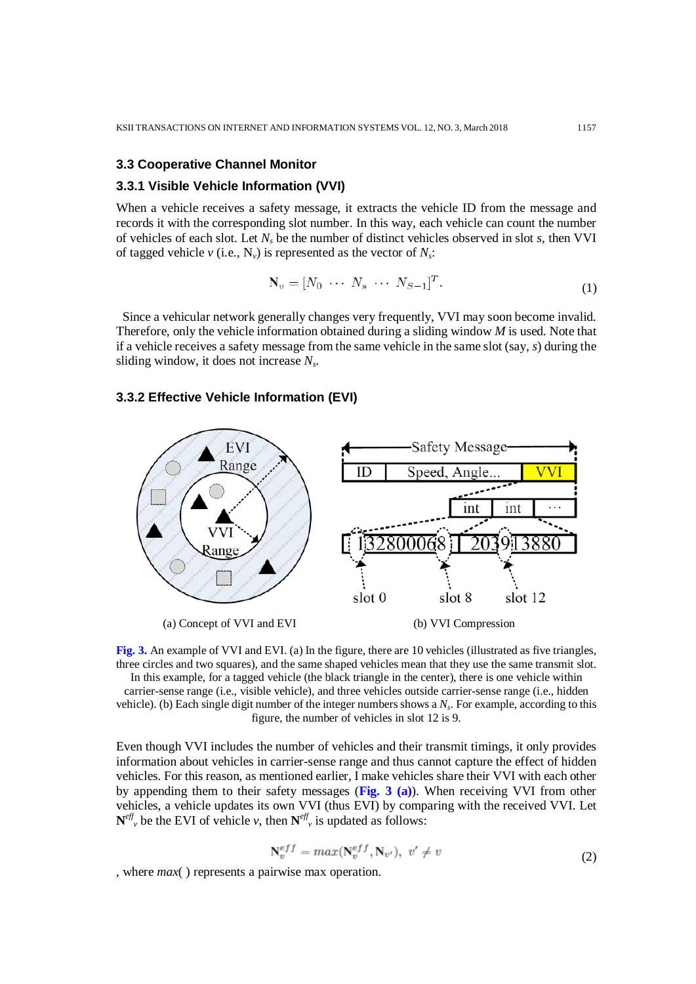#### **3.3 Cooperative Channel Monitor**

#### **3.3.1 Visible Vehicle Information (VVI)**

When a vehicle receives a safety message, it extracts the vehicle ID from the message and records it with the corresponding slot number. In this way, each vehicle can count the number of vehicles of each slot. Let *Ns* be the number of distinct vehicles observed in slot *s*, then VVI of tagged vehicle  $v$  (i.e.,  $N_v$ ) is represented as the vector of  $N_s$ :

$$
\mathbf{N}_v = [N_0 \cdots N_s \cdots N_{S-1}]^T. \tag{1}
$$

Since a vehicular network generally changes very frequently, VVI may soon become invalid. Therefore, only the vehicle information obtained during a sliding window *M* is used. Note that if a vehicle receives a safety message from the same vehicle in the same slot (say, *s*) during the sliding window, it does not increase *Ns*.

#### **3.3.2 Effective Vehicle Information (EVI)**



**Fig. 3.** An example of VVI and EVI. (a) In the figure, there are 10 vehicles (illustrated as five triangles, three circles and two squares), and the same shaped vehicles mean that they use the same transmit slot. In this example, for a tagged vehicle (the black triangle in the center), there is one vehicle within carrier-sense range (i.e., visible vehicle), and three vehicles outside carrier-sense range (i.e., hidden vehicle). (b) Each single digit number of the integer numbers shows a *Ns*. For example, according to this figure, the number of vehicles in slot 12 is 9.

Even though VVI includes the number of vehicles and their transmit timings, it only provides information about vehicles in carrier-sense range and thus cannot capture the effect of hidden vehicles. For this reason, as mentioned earlier, I make vehicles share their VVI with each other by appending them to their safety messages (**Fig. 3 (a)**). When receiving VVI from other vehicles, a vehicle updates its own VVI (thus EVI) by comparing with the received VVI. Let  $N^{eff}$ <sub>v</sub> be the EVI of vehicle *v*, then  $N^{eff}$ <sub>v</sub> is updated as follows:

$$
\mathbf{N}_v^{eff} = max(\mathbf{N}_v^{eff}, \mathbf{N}_{v'}), \ v' \neq v \tag{2}
$$

, where *max*( ) represents a pairwise max operation.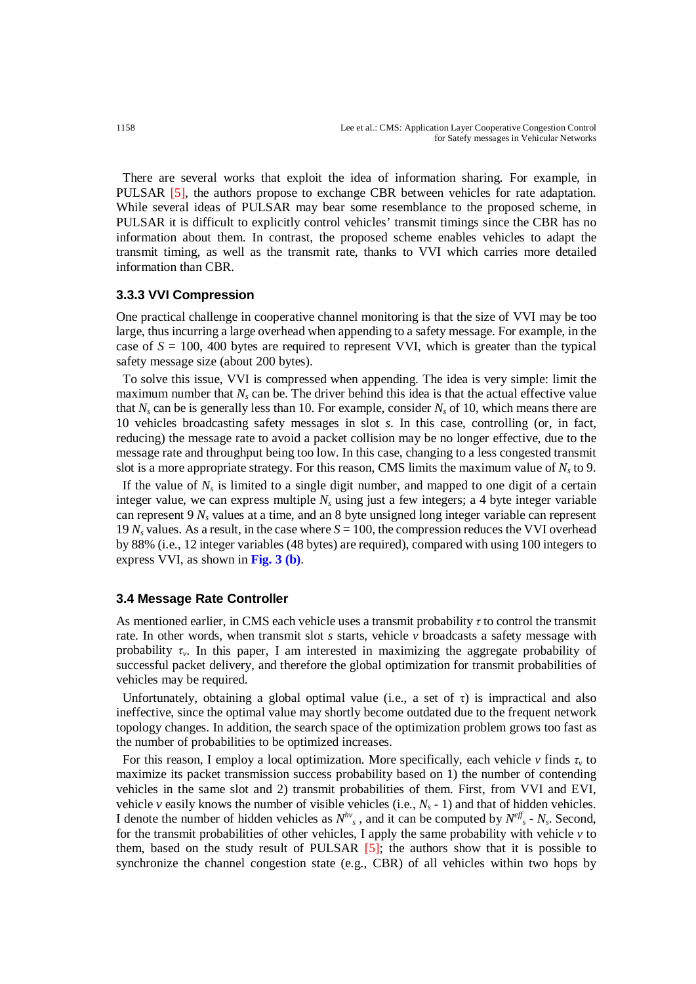There are several works that exploit the idea of information sharing. For example, in PULSAR [5], the authors propose to exchange CBR between vehicles for rate adaptation. While several ideas of PULSAR may bear some resemblance to the proposed scheme, in PULSAR it is difficult to explicitly control vehicles' transmit timings since the CBR has no information about them. In contrast, the proposed scheme enables vehicles to adapt the transmit timing, as well as the transmit rate, thanks to VVI which carries more detailed information than CBR.

## **3.3.3 VVI Compression**

One practical challenge in cooperative channel monitoring is that the size of VVI may be too large, thus incurring a large overhead when appending to a safety message. For example, in the case of  $S = 100$ , 400 bytes are required to represent VVI, which is greater than the typical safety message size (about 200 bytes).

To solve this issue, VVI is compressed when appending. The idea is very simple: limit the maximum number that  $N_s$  can be. The driver behind this idea is that the actual effective value that  $N_s$  can be is generally less than 10. For example, consider  $N_s$  of 10, which means there are 10 vehicles broadcasting safety messages in slot *s*. In this case, controlling (or, in fact, reducing) the message rate to avoid a packet collision may be no longer effective, due to the message rate and throughput being too low. In this case, changing to a less congested transmit slot is a more appropriate strategy. For this reason, CMS limits the maximum value of  $N<sub>s</sub>$  to 9.

If the value of  $N<sub>s</sub>$  is limited to a single digit number, and mapped to one digit of a certain integer value, we can express multiple  $N_s$  using just a few integers; a 4 byte integer variable can represent 9 *Ns* values at a time, and an 8 byte unsigned long integer variable can represent 19  $N_s$  values. As a result, in the case where  $S = 100$ , the compression reduces the VVI overhead by 88% (i.e., 12 integer variables (48 bytes) are required), compared with using 100 integers to express VVI, as shown in **Fig. 3 (b)**.

## **3.4 Message Rate Controller**

As mentioned earlier, in CMS each vehicle uses a transmit probability *τ* to control the transmit rate. In other words, when transmit slot *s* starts, vehicle *v* broadcasts a safety message with probability  $\tau_v$ . In this paper, I am interested in maximizing the aggregate probability of successful packet delivery, and therefore the global optimization for transmit probabilities of vehicles may be required.

Unfortunately, obtaining a global optimal value (i.e., a set of  $\tau$ ) is impractical and also ineffective, since the optimal value may shortly become outdated due to the frequent network topology changes. In addition, the search space of the optimization problem grows too fast as the number of probabilities to be optimized increases.

For this reason, I employ a local optimization. More specifically, each vehicle *v* finds  $\tau$ <sup>*v*</sup> to maximize its packet transmission success probability based on 1) the number of contending vehicles in the same slot and 2) transmit probabilities of them. First, from VVI and EVI, vehicle *v* easily knows the number of visible vehicles (i.e.,  $N_s$  - 1) and that of hidden vehicles. I denote the number of hidden vehicles as  $N^{h\nu}$ <sub>s</sub>, and it can be computed by  $N^{eff}$ <sub>s</sub> -  $N_s$ . Second, for the transmit probabilities of other vehicles, I apply the same probability with vehicle  $\nu$  to them, based on the study result of PULSAR [5]; the authors show that it is possible to synchronize the channel congestion state (e.g., CBR) of all vehicles within two hops by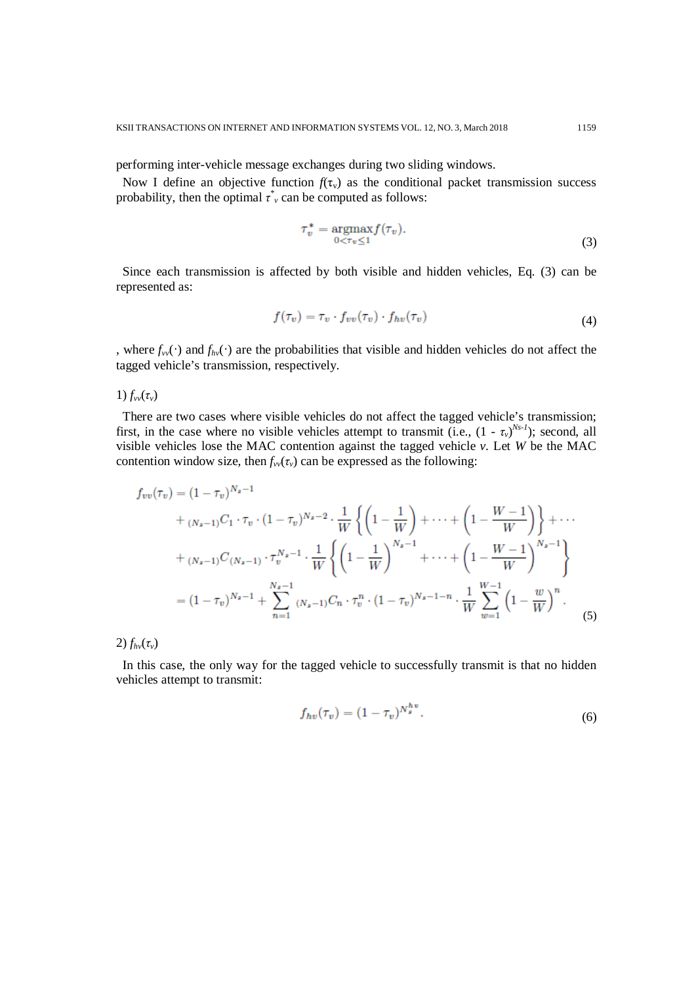performing inter-vehicle message exchanges during two sliding windows.

Now I define an objective function  $f(\tau_v)$  as the conditional packet transmission success probability, then the optimal  $\tau^*$  can be computed as follows:

$$
\tau_v^* = \underset{0 < \tau_v \le 1}{\operatorname{argmax}} f(\tau_v). \tag{3}
$$

Since each transmission is affected by both visible and hidden vehicles, Eq. (3) can be represented as:

$$
f(\tau_v) = \tau_v \cdot f_{vv}(\tau_v) \cdot f_{hv}(\tau_v)
$$
\n(4)

, where  $f_{vv}(\cdot)$  and  $f_{hv}(\cdot)$  are the probabilities that visible and hidden vehicles do not affect the tagged vehicle's transmission, respectively.

1)  $f_{vv}(\tau_v)$ 

There are two cases where visible vehicles do not affect the tagged vehicle's transmission; first, in the case where no visible vehicles attempt to transmit (i.e.,  $(1 - \tau_v)^{N_s}$ ); second, all visible vehicles lose the MAC contention against the tagged vehicle *v*. Let *W* be the MAC contention window size, then  $f_{vv}(\tau_v)$  can be expressed as the following:

$$
f_{vv}(\tau_v) = (1 - \tau_v)^{N_s - 1}
$$
  
+  $(N_{s-1})C_1 \cdot \tau_v \cdot (1 - \tau_v)^{N_s - 2} \cdot \frac{1}{W} \left\{ \left( 1 - \frac{1}{W} \right) + \dots + \left( 1 - \frac{W - 1}{W} \right) \right\} + \dots$   
+  $(N_{s-1})C_{(N_s - 1)} \cdot \tau_v^{N_s - 1} \cdot \frac{1}{W} \left\{ \left( 1 - \frac{1}{W} \right)^{N_s - 1} + \dots + \left( 1 - \frac{W - 1}{W} \right)^{N_s - 1} \right\}$   
=  $(1 - \tau_v)^{N_s - 1} + \sum_{n=1}^{N_s - 1} (N_s - 1)C_n \cdot \tau_v^n \cdot (1 - \tau_v)^{N_s - 1 - n} \cdot \frac{1}{W} \sum_{w=1}^{W - 1} \left( 1 - \frac{w}{W} \right)^n$ . (5)

2)  $f_{hv}(\tau_v)$ 

In this case, the only way for the tagged vehicle to successfully transmit is that no hidden vehicles attempt to transmit:

$$
f_{hv}(\tau_v) = (1 - \tau_v)^{N_s^{hv}}.
$$
\n(6)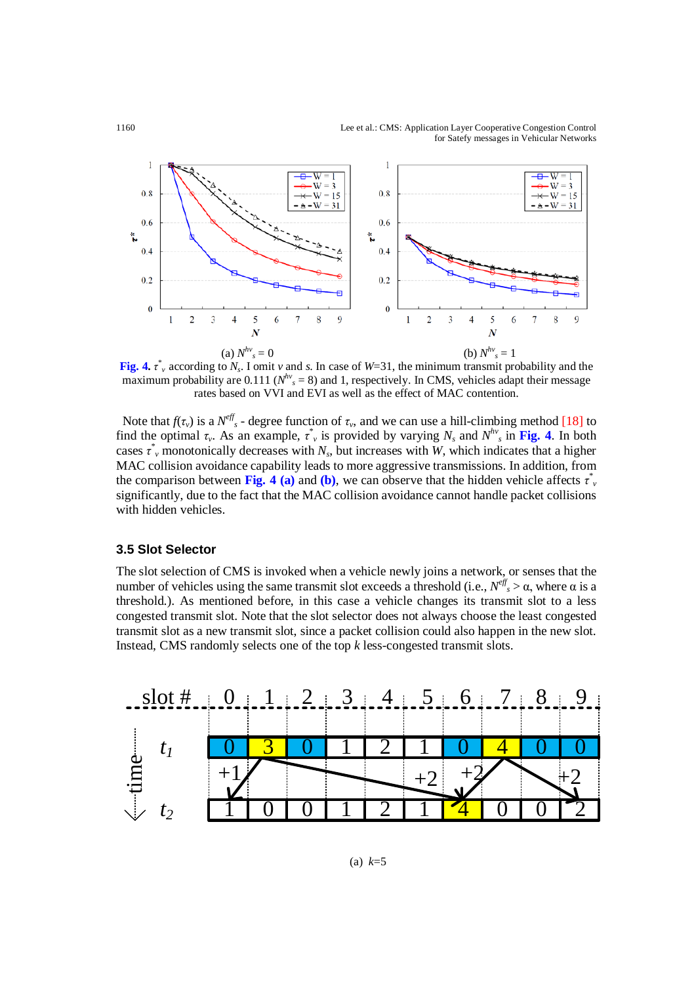

**Fig. 4.**  $\mathbf{r}^*$  according to  $N_s$ . I omit *v* and *s*. In case of *W*=31, the minimum transmit probability and the maximum probability are  $0.111$  ( $N<sup>hv</sup>$ <sub>s</sub> = 8) and 1, respectively. In CMS, vehicles adapt their message rates based on VVI and EVI as well as the effect of MAC contention.

Note that  $f(\tau_v)$  is a  $N^{eff}_{s}$  - degree function of  $\tau_v$ , and we can use a hill-climbing method [18] to find the optimal  $\tau_v$ . As an example,  $\tau_v^*$  is provided by varying  $N_s$  and  $N^{h\nu}$ <sub>s</sub> in Fig. 4. In both cases  $\tau$ <sup>\*</sup>, monotonically decreases with *N<sub>s</sub>*, but increases with *W*, which indicates that a higher MAC collision avoidance capability leads to more aggressive transmissions. In addition, from the comparison between **Fig. 4** (a) and (b), we can observe that the hidden vehicle affects  $\tau^*$ significantly, due to the fact that the MAC collision avoidance cannot handle packet collisions with hidden vehicles.

## **3.5 Slot Selector**

The slot selection of CMS is invoked when a vehicle newly joins a network, or senses that the number of vehicles using the same transmit slot exceeds a threshold (i.e.,  $N^{eff}_{s} > α$ , where α is a threshold.). As mentioned before, in this case a vehicle changes its transmit slot to a less congested transmit slot. Note that the slot selector does not always choose the least congested transmit slot as a new transmit slot, since a packet collision could also happen in the new slot. Instead, CMS randomly selects one of the top *k* less-congested transmit slots.

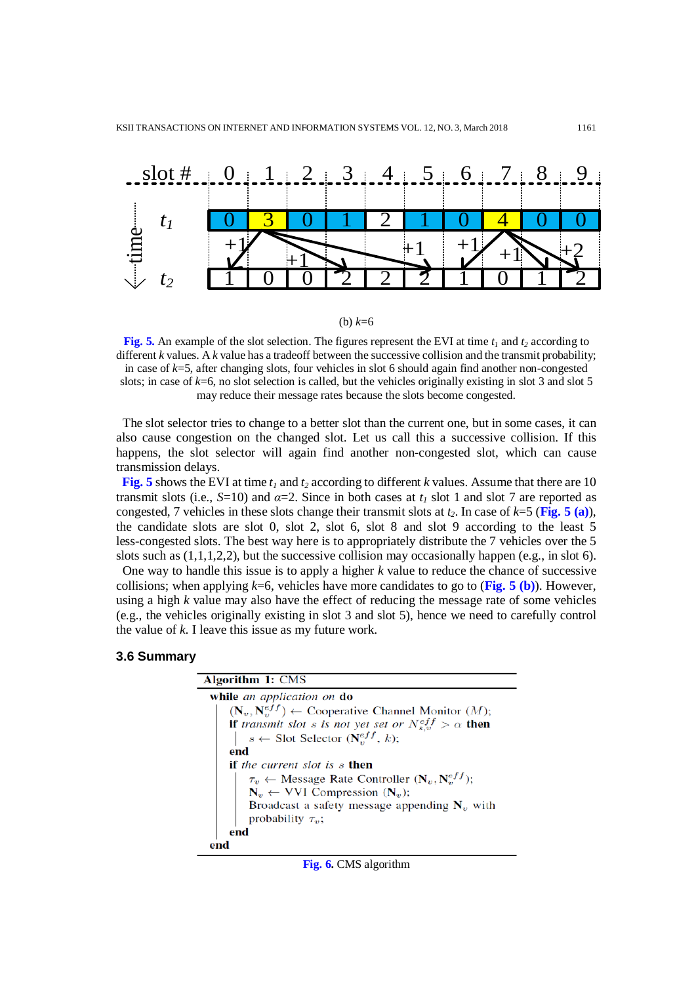

(b) *k*=6

**Fig. 5.** An example of the slot selection. The figures represent the EVI at time  $t_1$  and  $t_2$  according to different *k* values. A *k* value has a tradeoff between the successive collision and the transmit probability; in case of *k*=5, after changing slots, four vehicles in slot 6 should again find another non-congested slots; in case of *k*=6, no slot selection is called, but the vehicles originally existing in slot 3 and slot 5 may reduce their message rates because the slots become congested.

The slot selector tries to change to a better slot than the current one, but in some cases, it can also cause congestion on the changed slot. Let us call this a successive collision. If this happens, the slot selector will again find another non-congested slot, which can cause transmission delays.

**Fig. 5** shows the EVI at time  $t_1$  and  $t_2$  according to different *k* values. Assume that there are 10 transmit slots (i.e.,  $S=10$ ) and  $\alpha=2$ . Since in both cases at  $t_1$  slot 1 and slot 7 are reported as congested, 7 vehicles in these slots change their transmit slots at  $t_2$ . In case of  $k=5$  (**Fig. 5 (a)**), the candidate slots are slot 0, slot 2, slot 6, slot 8 and slot 9 according to the least 5 less-congested slots. The best way here is to appropriately distribute the 7 vehicles over the 5 slots such as  $(1,1,1,2,2)$ , but the successive collision may occasionally happen (e.g., in slot 6).

One way to handle this issue is to apply a higher *k* value to reduce the chance of successive collisions; when applying  $k=6$ , vehicles have more candidates to go to (**Fig. 5 (b)**). However, using a high *k* value may also have the effect of reducing the message rate of some vehicles (e.g., the vehicles originally existing in slot 3 and slot 5), hence we need to carefully control the value of *k*. I leave this issue as my future work.

#### **3.6 Summary**

| <b>Algorithm 1: CMS</b>                                                   |
|---------------------------------------------------------------------------|
| while an application on do                                                |
| $(N_v, N_v^{eff}) \leftarrow$ Cooperative Channel Monitor $(M)$ ;         |
| <b>if</b> transmit slot s is not yet set or $N_{s,v}^{eff} > \alpha$ then |
| $s \leftarrow$ Slot Selector $(N_v^{eff}, k)$ ;                           |
| end                                                                       |
| <b>if</b> the current slot is s <b>then</b>                               |
| $\tau_v \leftarrow$ Message Rate Controller $(N_v, N_v^{eff})$ ;          |
| $N_v \leftarrow$ VVI Compression $(N_v)$ ;                                |
| Broadcast a safety message appending $N_v$ with                           |
| probability $\tau_v$ ;                                                    |
| end                                                                       |
| end                                                                       |

|  |  | Fig. 6. CMS algorithm |
|--|--|-----------------------|
|--|--|-----------------------|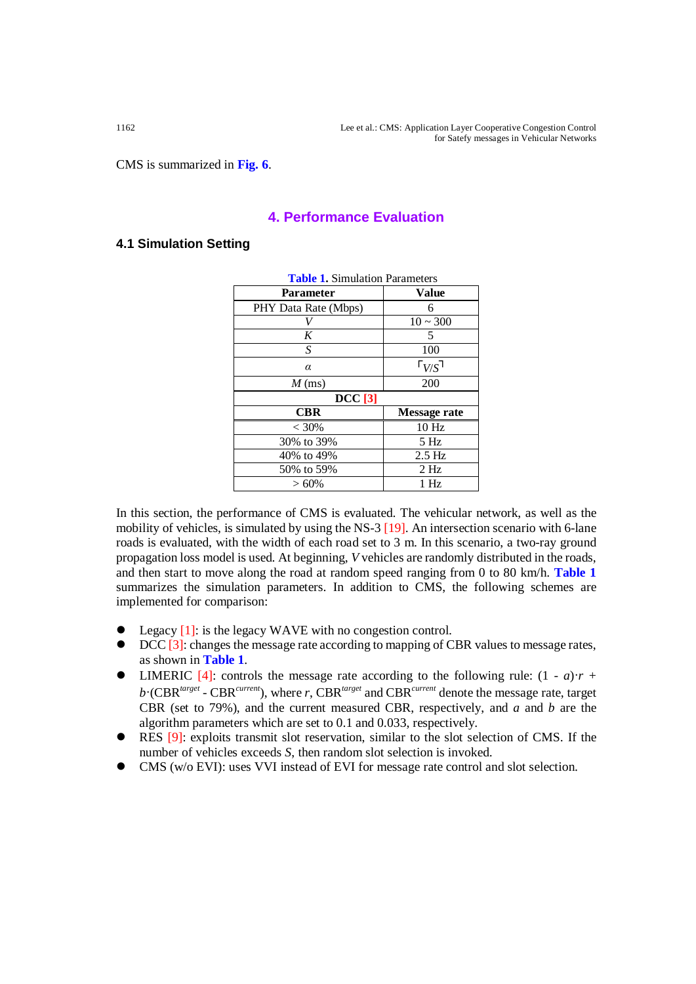CMS is summarized in **Fig. 6**.

# **4. Performance Evaluation**

## **4.1 Simulation Setting**

| <b>Table 1.</b> Simulation Parameters |                     |  |  |
|---------------------------------------|---------------------|--|--|
| Parameter                             | <b>Value</b>        |  |  |
| PHY Data Rate (Mbps)                  | 6                   |  |  |
|                                       | $10 \sim 300$       |  |  |
| K                                     | 5                   |  |  |
| S                                     | 100                 |  |  |
| α                                     | $\Gamma_{V/S}$ ٦    |  |  |
| $M$ (ms)                              | 200                 |  |  |
| <b>DCC</b> [3]                        |                     |  |  |
|                                       |                     |  |  |
| <b>CBR</b>                            | <b>Message rate</b> |  |  |
| $< 30\%$                              | 10 <sub>Hz</sub>    |  |  |
| 30% to 39%                            | 5 Hz                |  |  |
| 40% to 49%                            | 2.5 Hz              |  |  |
| 50% to 59%                            | $2$ Hz              |  |  |

**Table 1.** Simulation Parameters

In this section, the performance of CMS is evaluated. The vehicular network, as well as the mobility of vehicles, is simulated by using the NS-3 [19]. An intersection scenario with 6-lane roads is evaluated, with the width of each road set to 3 m. In this scenario, a two-ray ground propagation loss model is used. At beginning, *V* vehicles are randomly distributed in the roads, and then start to move along the road at random speed ranging from 0 to 80 km/h. **Table 1** summarizes the simulation parameters. In addition to CMS, the following schemes are implemented for comparison:

- Legacy [1]: is the legacy WAVE with no congestion control.
- DCC [3]: changes the message rate according to mapping of CBR values to message rates, as shown in **Table 1**.
- LIMERIC [4]: controls the message rate according to the following rule:  $(1 a)r +$ *b*·(CBR*target* - CBR*current*), where *r*, CBR*target* and CBR*current* denote the message rate, target CBR (set to 79%), and the current measured CBR, respectively, and *a* and *b* are the algorithm parameters which are set to 0.1 and 0.033, respectively.
- RES [9]: exploits transmit slot reservation, similar to the slot selection of CMS. If the number of vehicles exceeds *S*, then random slot selection is invoked.
- CMS (w/o EVI): uses VVI instead of EVI for message rate control and slot selection.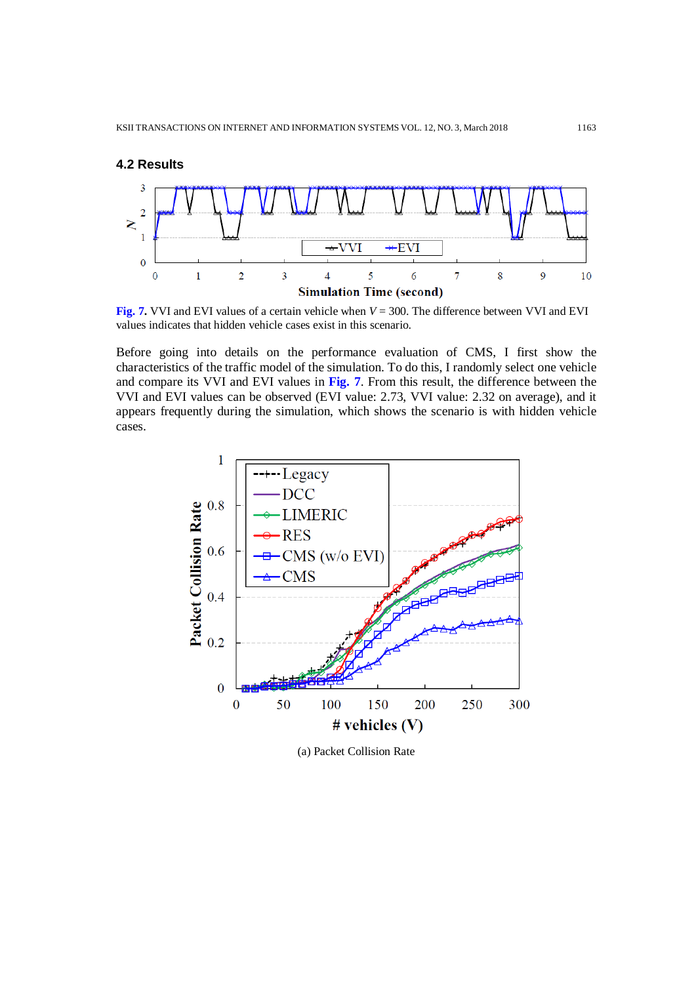

**Fig. 7.** VVI and EVI values of a certain vehicle when *V* = 300. The difference between VVI and EVI values indicates that hidden vehicle cases exist in this scenario.

Before going into details on the performance evaluation of CMS, I first show the characteristics of the traffic model of the simulation. To do this, I randomly select one vehicle and compare its VVI and EVI values in **Fig. 7**. From this result, the difference between the VVI and EVI values can be observed (EVI value: 2.73, VVI value: 2.32 on average), and it appears frequently during the simulation, which shows the scenario is with hidden vehicle cases.



(a) Packet Collision Rate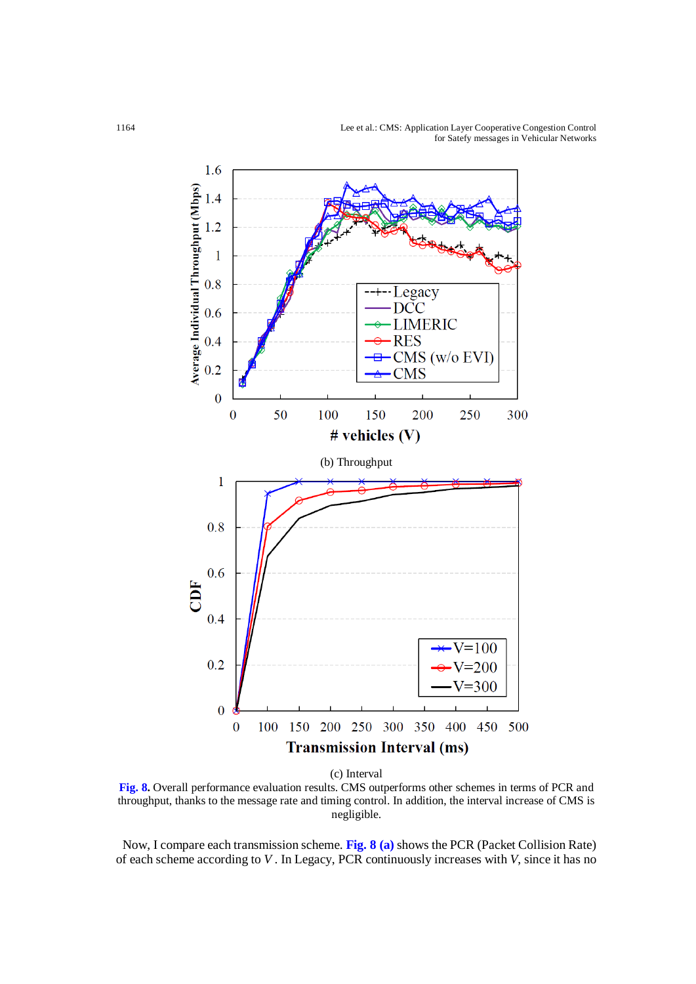1164 Lee et al.: CMS: Application Layer Cooperative Congestion Control for Satefy messages in Vehicular Networks



(c) Interval

**Fig. 8.** Overall performance evaluation results. CMS outperforms other schemes in terms of PCR and throughput, thanks to the message rate and timing control. In addition, the interval increase of CMS is negligible.

Now, I compare each transmission scheme. **Fig. 8 (a)** shows the PCR (Packet Collision Rate) of each scheme according to *V* . In Legacy, PCR continuously increases with *V*, since it has no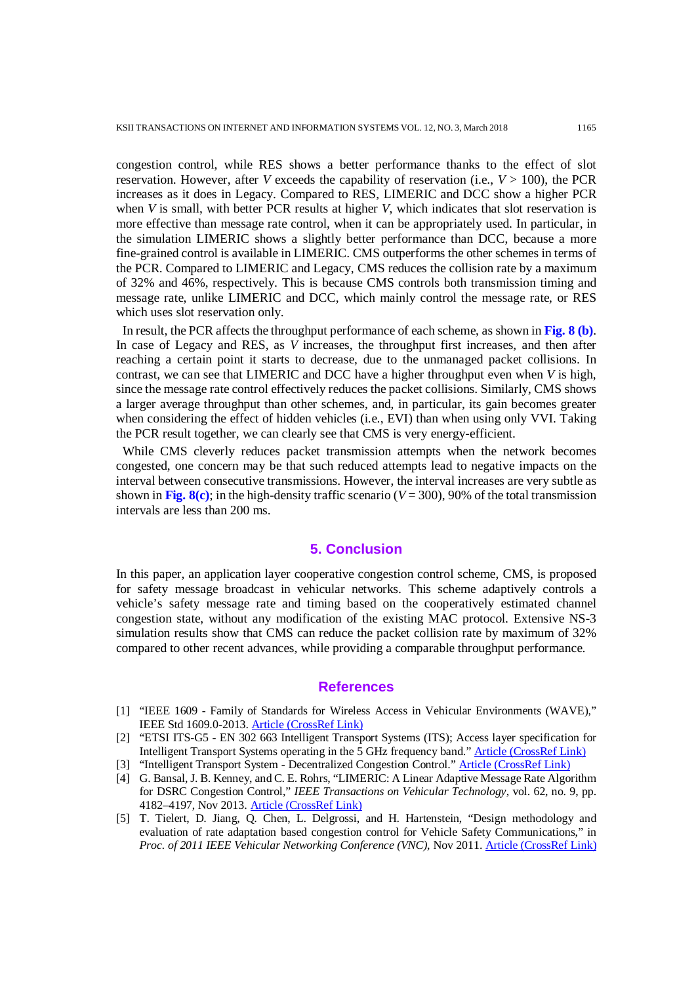congestion control, while RES shows a better performance thanks to the effect of slot reservation. However, after *V* exceeds the capability of reservation (i.e., *V* > 100), the PCR increases as it does in Legacy. Compared to RES, LIMERIC and DCC show a higher PCR when *V* is small, with better PCR results at higher *V*, which indicates that slot reservation is more effective than message rate control, when it can be appropriately used. In particular, in the simulation LIMERIC shows a slightly better performance than DCC, because a more fine-grained control is available in LIMERIC. CMS outperforms the other schemes in terms of the PCR. Compared to LIMERIC and Legacy, CMS reduces the collision rate by a maximum of 32% and 46%, respectively. This is because CMS controls both transmission timing and message rate, unlike LIMERIC and DCC, which mainly control the message rate, or RES which uses slot reservation only.

In result, the PCR affects the throughput performance of each scheme, as shown in **Fig. 8 (b)**. In case of Legacy and RES, as *V* increases, the throughput first increases, and then after reaching a certain point it starts to decrease, due to the unmanaged packet collisions. In contrast, we can see that LIMERIC and DCC have a higher throughput even when *V* is high, since the message rate control effectively reduces the packet collisions. Similarly, CMS shows a larger average throughput than other schemes, and, in particular, its gain becomes greater when considering the effect of hidden vehicles (i.e., EVI) than when using only VVI. Taking the PCR result together, we can clearly see that CMS is very energy-efficient.

While CMS cleverly reduces packet transmission attempts when the network becomes congested, one concern may be that such reduced attempts lead to negative impacts on the interval between consecutive transmissions. However, the interval increases are very subtle as shown in Fig.  $8(c)$ ; in the high-density traffic scenario ( $V = 300$ ), 90% of the total transmission intervals are less than 200 ms.

### **5. Conclusion**

In this paper, an application layer cooperative congestion control scheme, CMS, is proposed for safety message broadcast in vehicular networks. This scheme adaptively controls a vehicle's safety message rate and timing based on the cooperatively estimated channel congestion state, without any modification of the existing MAC protocol. Extensive NS-3 simulation results show that CMS can reduce the packet collision rate by maximum of 32% compared to other recent advances, while providing a comparable throughput performance.

## **References**

- [1] "IEEE 1609 Family of Standards for Wireless Access in Vehicular Environments (WAVE)," IEEE Std 1609.0-2013. [Article \(CrossRef Link\)](https://www.standards.its.dot.gov/Factsheets/Factsheet/80)
- [2] "ETSI ITS-G5 EN 302 663 Intelligent Transport Systems (ITS); Access layer specification for Intelligent Transport Systems operating in the 5 GHz frequency band." [Article \(CrossRef Link\)](http://www.etsi.org/deliver/etsi_en/302600_302699/302663/01.02.00_20/en_302663v010200a.pdf)
- [3] "Intelligent Transport System Decentralized Congestion Control." [Article \(CrossRef Link\)](http://www.etsi.org/deliver/etsi_ts/102900_102999/10291703/01.01.01_60/ts_10291703v010101p.pdf)
- [4] G. Bansal, J. B. Kenney, and C. E. Rohrs, "LIMERIC: A Linear Adaptive Message Rate Algorithm for DSRC Congestion Control," *IEEE Transactions on Vehicular Technology*, vol. 62, no. 9, pp. 4182–4197, Nov 2013. [Article \(CrossRef Link\)](https://dx.doi.org/10.1109/TVT.2013.2275014)
- [5] T. Tielert, D. Jiang, Q. Chen, L. Delgrossi, and H. Hartenstein, "Design methodology and evaluation of rate adaptation based congestion control for Vehicle Safety Communications," in *Proc. of 2011 IEEE Vehicular Networking Conference (VNC)*, Nov 2011. [Article \(CrossRef Link\)](https://dx.doi.org/10.1109/VNC.2011.6117132)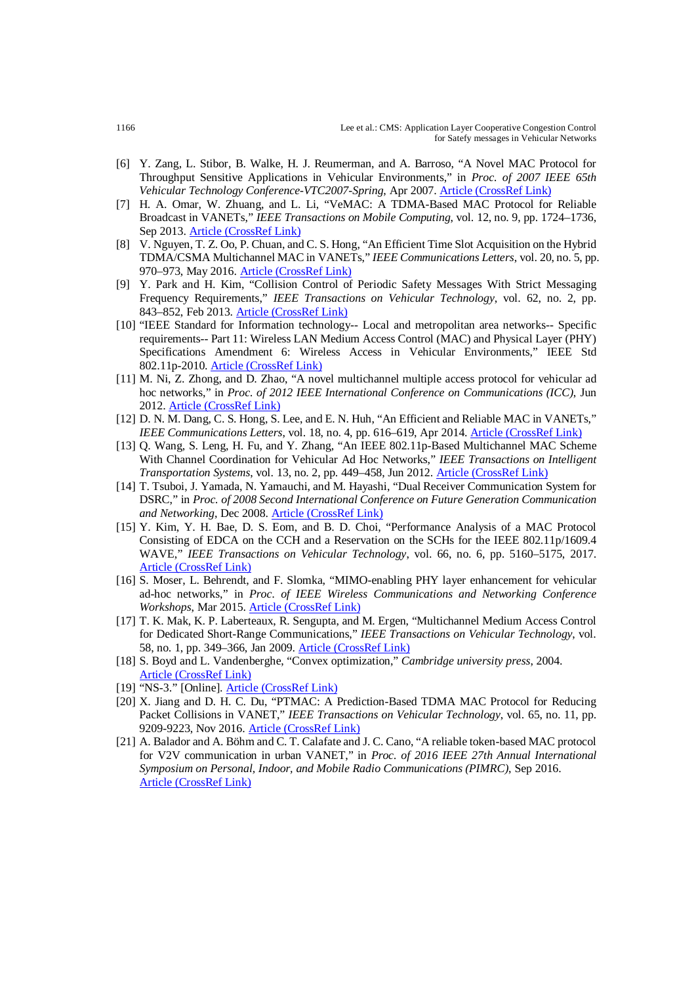- [6] Y. Zang, L. Stibor, B. Walke, H. J. Reumerman, and A. Barroso, "A Novel MAC Protocol for Throughput Sensitive Applications in Vehicular Environments," in *Proc. of 2007 IEEE 65th Vehicular Technology Conference-VTC2007-Spring*, Apr 2007. [Article \(CrossRef Link\)](https://dx.doi.org/10.1109/VETECS.2007.531)
- [7] H. A. Omar, W. Zhuang, and L. Li, "VeMAC: A TDMA-Based MAC Protocol for Reliable Broadcast in VANETs," *IEEE Transactions on Mobile Computing*, vol. 12, no. 9, pp. 1724–1736, Sep 2013. [Article \(CrossRef Link\)](https://dx.doi.org/10.1109/TMC.2012.142)
- [8] V. Nguyen, T. Z. Oo, P. Chuan, and C. S. Hong, "An Efficient Time Slot Acquisition on the Hybrid TDMA/CSMA Multichannel MAC in VANETs," *IEEE Communications Letters*, vol. 20, no. 5, pp. 970–973, May 2016. [Article \(CrossRef Link\)](https://dx.doi.org/10.1109/LCOMM.2016.2536672)
- [9] Y. Park and H. Kim, "Collision Control of Periodic Safety Messages With Strict Messaging Frequency Requirements," *IEEE Transactions on Vehicular Technology*, vol. 62, no. 2, pp. 843-852, Feb 2013. [Article \(CrossRef Link\)](https://dx.doi.org/10.1109/TVT.2012.2227070)
- [10] "IEEE Standard for Information technology-- Local and metropolitan area networks-- Specific requirements-- Part 11: Wireless LAN Medium Access Control (MAC) and Physical Layer (PHY) Specifications Amendment 6: Wireless Access in Vehicular Environments," IEEE Std 802.11p-2010. [Article \(CrossRef Link\)](https://standards.ieee.org/findstds/standard/802.11p-2010.html)
- [11] M. Ni, Z. Zhong, and D. Zhao, "A novel multichannel multiple access protocol for vehicular ad hoc networks," in *Proc. of 2012 IEEE International Conference on Communications (ICC)*, Jun 2012. [Article \(CrossRef Link\)](https://dx.doi.org/10.1109/ICC.2012.6364212)
- [12] D. N. M. Dang, C. S. Hong, S. Lee, and E. N. Huh, "An Efficient and Reliable MAC in VANETs," *IEEE Communications Letters*, vol. 18, no. 4, pp. 616–619, Apr 2014. [Article \(CrossRef Link\)](https://dx.doi.org/10.1109/LCOMM.2014.030114.132504)
- [13] Q. Wang, S. Leng, H. Fu, and Y. Zhang, "An IEEE 802.11p-Based Multichannel MAC Scheme With Channel Coordination for Vehicular Ad Hoc Networks," *IEEE Transactions on Intelligent Transportation Systems*, vol. 13, no. 2, pp. 449–458, Jun 2012. [Article \(CrossRef Link\)](https://dx.doi.org/10.1109/TITS.2011.2171951)
- [14] T. Tsuboi, J. Yamada, N. Yamauchi, and M. Hayashi, "Dual Receiver Communication System for DSRC," in *Proc. of 2008 Second International Conference on Future Generation Communication and Networking*, Dec 2008. [Article \(CrossRef Link\)](https://dx.doi.org/10.1109/FGCN.2008.53)
- [15] Y. Kim, Y. H. Bae, D. S. Eom, and B. D. Choi, "Performance Analysis of a MAC Protocol Consisting of EDCA on the CCH and a Reservation on the SCHs for the IEEE 802.11p/1609.4 WAVE," *IEEE Transactions on Vehicular Technology*, vol. 66, no. 6, pp. 5160–5175, 2017. [Article \(CrossRef Link\)](https://dx.doi.org/10.1109/TVT.2016.2622004)
- [16] S. Moser, L. Behrendt, and F. Slomka, "MIMO-enabling PHY layer enhancement for vehicular ad-hoc networks," in *Proc. of IEEE Wireless Communications and Networking Conference Workshops*, Mar 2015. [Article \(CrossRef Link\)](https://dx.doi.org/10.1109/WCNCW.2015.7122544)
- [17] T. K. Mak, K. P. Laberteaux, R. Sengupta, and M. Ergen, "Multichannel Medium Access Control for Dedicated Short-Range Communications," *IEEE Transactions on Vehicular Technology*, vol. 58, no. 1, pp. 349–366, Jan 2009. [Article \(CrossRef Link\)](https://dx.doi.org/10.1109/TVT.2008.921625)
- [18] S. Boyd and L. Vandenberghe, "Convex optimization," *Cambridge university press*, 2004. [Article \(CrossRef Link\)](https://dx.doi.org/10.1017/CBO9780511804441)
- [19] "NS-3." [Online]. [Article \(CrossRef Link\)](https://www.nsnam.org/)
- [20] X. Jiang and D. H. C. Du, "PTMAC: A Prediction-Based TDMA MAC Protocol for Reducing Packet Collisions in VANET," *IEEE Transactions on Vehicular Technology*, vol. 65, no. 11, pp. 9209-9223, Nov 2016. [Article \(CrossRef Link\)](https://dx.doi.org/10.1109/TVT.2016.2519442)
- [21] A. Balador and A. Böhm and C. T. Calafate and J. C. Cano, "A reliable token-based MAC protocol for V2V communication in urban VANET," in *Proc. of 2016 IEEE 27th Annual International Symposium on Personal, Indoor, and Mobile Radio Communications (PIMRC)*, Sep 2016. [Article \(CrossRef Link\)](https://dx.doi.org/10.1109/PIMRC.2016.7794823)